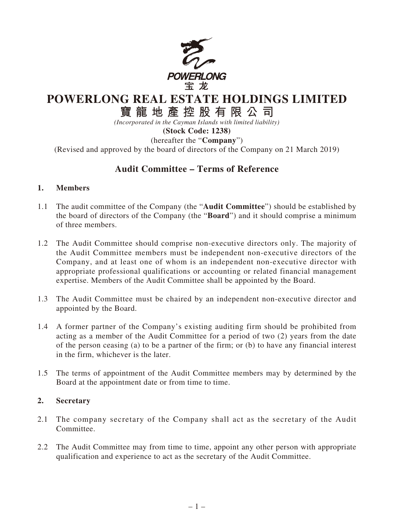

## **POWERLONG REAL ESTATE HOLDINGS LIMITED**

# **寶龍地產控股有限公司**

*(Incorporated in the Cayman Islands with limited liability)* **(Stock Code: 1238)**

(hereafter the "**Company**")

(Revised and approved by the board of directors of the Company on 21 March 2019)

## **Audit Committee – Terms of Reference**

#### **1. Members**

- 1.1 The audit committee of the Company (the "**Audit Committee**") should be established by the board of directors of the Company (the "**Board**") and it should comprise a minimum of three members.
- 1.2 The Audit Committee should comprise non-executive directors only. The majority of the Audit Committee members must be independent non-executive directors of the Company, and at least one of whom is an independent non-executive director with appropriate professional qualifications or accounting or related financial management expertise. Members of the Audit Committee shall be appointed by the Board.
- 1.3 The Audit Committee must be chaired by an independent non-executive director and appointed by the Board.
- 1.4 A former partner of the Company's existing auditing firm should be prohibited from acting as a member of the Audit Committee for a period of two (2) years from the date of the person ceasing (a) to be a partner of the firm; or (b) to have any financial interest in the firm, whichever is the later.
- 1.5 The terms of appointment of the Audit Committee members may by determined by the Board at the appointment date or from time to time.

## **2. Secretary**

- 2.1 The company secretary of the Company shall act as the secretary of the Audit Committee.
- 2.2 The Audit Committee may from time to time, appoint any other person with appropriate qualification and experience to act as the secretary of the Audit Committee.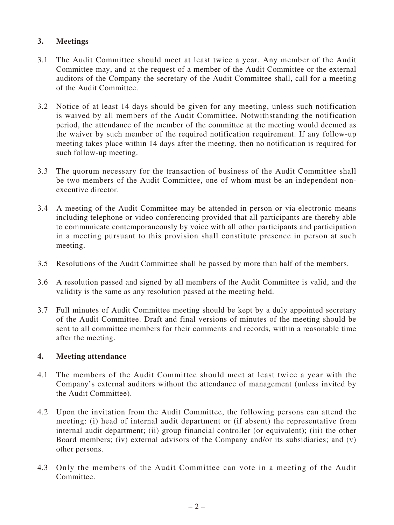## **3. Meetings**

- 3.1 The Audit Committee should meet at least twice a year. Any member of the Audit Committee may, and at the request of a member of the Audit Committee or the external auditors of the Company the secretary of the Audit Committee shall, call for a meeting of the Audit Committee.
- 3.2 Notice of at least 14 days should be given for any meeting, unless such notification is waived by all members of the Audit Committee. Notwithstanding the notification period, the attendance of the member of the committee at the meeting would deemed as the waiver by such member of the required notification requirement. If any follow-up meeting takes place within 14 days after the meeting, then no notification is required for such follow-up meeting.
- 3.3 The quorum necessary for the transaction of business of the Audit Committee shall be two members of the Audit Committee, one of whom must be an independent nonexecutive director.
- 3.4 A meeting of the Audit Committee may be attended in person or via electronic means including telephone or video conferencing provided that all participants are thereby able to communicate contemporaneously by voice with all other participants and participation in a meeting pursuant to this provision shall constitute presence in person at such meeting.
- 3.5 Resolutions of the Audit Committee shall be passed by more than half of the members.
- 3.6 A resolution passed and signed by all members of the Audit Committee is valid, and the validity is the same as any resolution passed at the meeting held.
- 3.7 Full minutes of Audit Committee meeting should be kept by a duly appointed secretary of the Audit Committee. Draft and final versions of minutes of the meeting should be sent to all committee members for their comments and records, within a reasonable time after the meeting.

#### **4. Meeting attendance**

- 4.1 The members of the Audit Committee should meet at least twice a year with the Company's external auditors without the attendance of management (unless invited by the Audit Committee).
- 4.2 Upon the invitation from the Audit Committee, the following persons can attend the meeting: (i) head of internal audit department or (if absent) the representative from internal audit department; (ii) group financial controller (or equivalent); (iii) the other Board members; (iv) external advisors of the Company and/or its subsidiaries; and (v) other persons.
- 4.3 Only the members of the Audit Committee can vote in a meeting of the Audit Committee.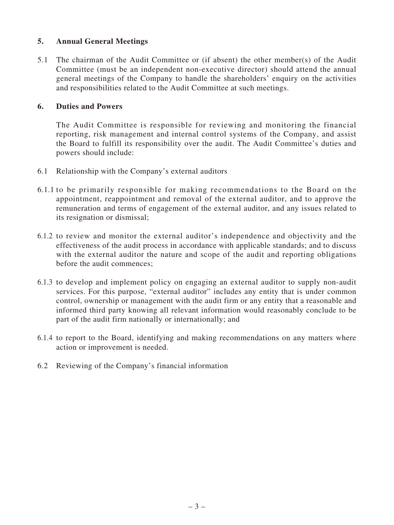## **5. Annual General Meetings**

5.1 The chairman of the Audit Committee or (if absent) the other member(s) of the Audit Committee (must be an independent non-executive director) should attend the annual general meetings of the Company to handle the shareholders' enquiry on the activities and responsibilities related to the Audit Committee at such meetings.

## **6. Duties and Powers**

The Audit Committee is responsible for reviewing and monitoring the financial reporting, risk management and internal control systems of the Company, and assist the Board to fulfill its responsibility over the audit. The Audit Committee's duties and powers should include:

- 6.1 Relationship with the Company's external auditors
- 6.1.1 to be primarily responsible for making recommendations to the Board on the appointment, reappointment and removal of the external auditor, and to approve the remuneration and terms of engagement of the external auditor, and any issues related to its resignation or dismissal;
- 6.1.2 to review and monitor the external auditor's independence and objectivity and the effectiveness of the audit process in accordance with applicable standards; and to discuss with the external auditor the nature and scope of the audit and reporting obligations before the audit commences;
- 6.1.3 to develop and implement policy on engaging an external auditor to supply non-audit services. For this purpose, "external auditor" includes any entity that is under common control, ownership or management with the audit firm or any entity that a reasonable and informed third party knowing all relevant information would reasonably conclude to be part of the audit firm nationally or internationally; and
- 6.1.4 to report to the Board, identifying and making recommendations on any matters where action or improvement is needed.
- 6.2 Reviewing of the Company's financial information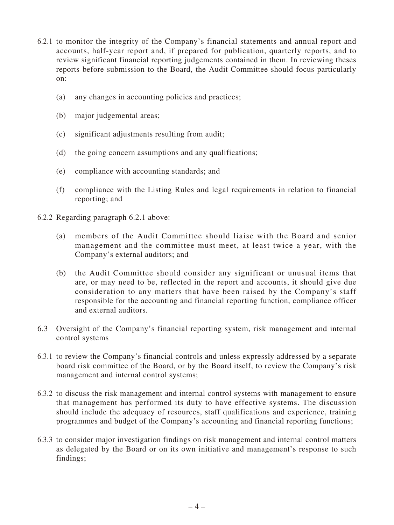- 6.2.1 to monitor the integrity of the Company's financial statements and annual report and accounts, half-year report and, if prepared for publication, quarterly reports, and to review significant financial reporting judgements contained in them. In reviewing theses reports before submission to the Board, the Audit Committee should focus particularly on:
	- (a) any changes in accounting policies and practices;
	- (b) major judgemental areas;
	- (c) significant adjustments resulting from audit;
	- (d) the going concern assumptions and any qualifications;
	- (e) compliance with accounting standards; and
	- (f) compliance with the Listing Rules and legal requirements in relation to financial reporting; and
- 6.2.2 Regarding paragraph 6.2.1 above:
	- (a) members of the Audit Committee should liaise with the Board and senior management and the committee must meet, at least twice a year, with the Company's external auditors; and
	- (b) the Audit Committee should consider any significant or unusual items that are, or may need to be, reflected in the report and accounts, it should give due consideration to any matters that have been raised by the Company's staff responsible for the accounting and financial reporting function, compliance officer and external auditors.
- 6.3 Oversight of the Company's financial reporting system, risk management and internal control systems
- 6.3.1 to review the Company's financial controls and unless expressly addressed by a separate board risk committee of the Board, or by the Board itself, to review the Company's risk management and internal control systems;
- 6.3.2 to discuss the risk management and internal control systems with management to ensure that management has performed its duty to have effective systems. The discussion should include the adequacy of resources, staff qualifications and experience, training programmes and budget of the Company's accounting and financial reporting functions;
- 6.3.3 to consider major investigation findings on risk management and internal control matters as delegated by the Board or on its own initiative and management's response to such findings;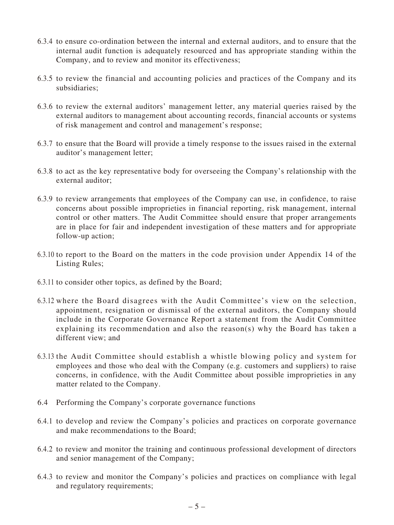- 6.3.4 to ensure co-ordination between the internal and external auditors, and to ensure that the internal audit function is adequately resourced and has appropriate standing within the Company, and to review and monitor its effectiveness;
- 6.3.5 to review the financial and accounting policies and practices of the Company and its subsidiaries;
- 6.3.6 to review the external auditors' management letter, any material queries raised by the external auditors to management about accounting records, financial accounts or systems of risk management and control and management's response;
- 6.3.7 to ensure that the Board will provide a timely response to the issues raised in the external auditor's management letter;
- 6.3.8 to act as the key representative body for overseeing the Company's relationship with the external auditor;
- 6.3.9 to review arrangements that employees of the Company can use, in confidence, to raise concerns about possible improprieties in financial reporting, risk management, internal control or other matters. The Audit Committee should ensure that proper arrangements are in place for fair and independent investigation of these matters and for appropriate follow-up action;
- 6.3.10 to report to the Board on the matters in the code provision under Appendix 14 of the Listing Rules;
- 6.3.11 to consider other topics, as defined by the Board;
- 6.3.12 where the Board disagrees with the Audit Committee's view on the selection, appointment, resignation or dismissal of the external auditors, the Company should include in the Corporate Governance Report a statement from the Audit Committee explaining its recommendation and also the reason(s) why the Board has taken a different view; and
- 6.3.13 the Audit Committee should establish a whistle blowing policy and system for employees and those who deal with the Company (e.g. customers and suppliers) to raise concerns, in confidence, with the Audit Committee about possible improprieties in any matter related to the Company.
- 6.4 Performing the Company's corporate governance functions
- 6.4.1 to develop and review the Company's policies and practices on corporate governance and make recommendations to the Board;
- 6.4.2 to review and monitor the training and continuous professional development of directors and senior management of the Company;
- 6.4.3 to review and monitor the Company's policies and practices on compliance with legal and regulatory requirements;